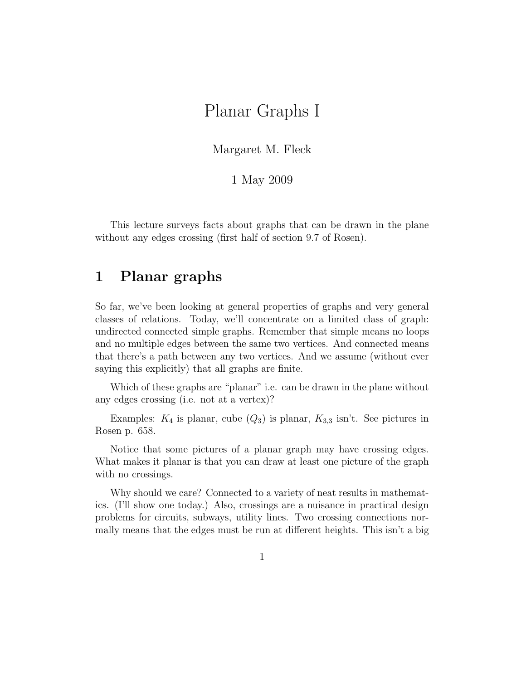# Planar Graphs I

Margaret M. Fleck

1 May 2009

This lecture surveys facts about graphs that can be drawn in the plane without any edges crossing (first half of section 9.7 of Rosen).

# 1 Planar graphs

So far, we've been looking at general properties of graphs and very general classes of relations. Today, we'll concentrate on a limited class of graph: undirected connected simple graphs. Remember that simple means no loops and no multiple edges between the same two vertices. And connected means that there's a path between any two vertices. And we assume (without ever saying this explicitly) that all graphs are finite.

Which of these graphs are "planar" i.e. can be drawn in the plane without any edges crossing (i.e. not at a vertex)?

Examples:  $K_4$  is planar, cube  $(Q_3)$  is planar,  $K_{3,3}$  isn't. See pictures in Rosen p. 658.

Notice that some pictures of a planar graph may have crossing edges. What makes it planar is that you can draw at least one picture of the graph with no crossings.

Why should we care? Connected to a variety of neat results in mathematics. (I'll show one today.) Also, crossings are a nuisance in practical design problems for circuits, subways, utility lines. Two crossing connections normally means that the edges must be run at different heights. This isn't a big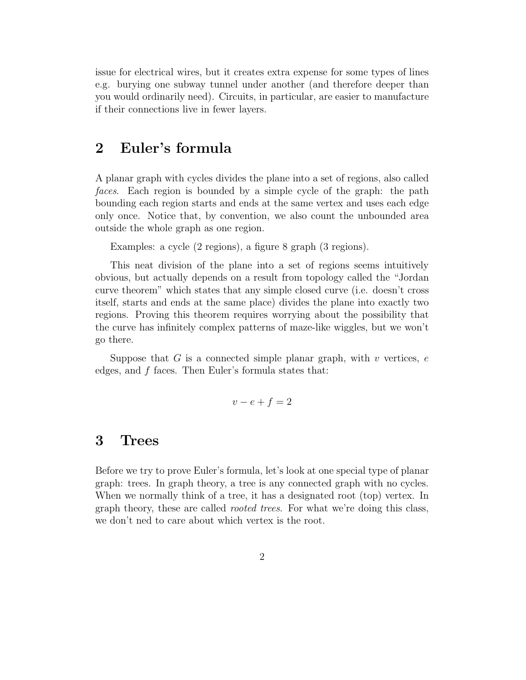issue for electrical wires, but it creates extra expense for some types of lines e.g. burying one subway tunnel under another (and therefore deeper than you would ordinarily need). Circuits, in particular, are easier to manufacture if their connections live in fewer layers.

#### 2 Euler's formula

A planar graph with cycles divides the plane into a set of regions, also called faces. Each region is bounded by a simple cycle of the graph: the path bounding each region starts and ends at the same vertex and uses each edge only once. Notice that, by convention, we also count the unbounded area outside the whole graph as one region.

Examples: a cycle (2 regions), a figure 8 graph (3 regions).

This neat division of the plane into a set of regions seems intuitively obvious, but actually depends on a result from topology called the "Jordan curve theorem" which states that any simple closed curve (i.e. doesn't cross itself, starts and ends at the same place) divides the plane into exactly two regions. Proving this theorem requires worrying about the possibility that the curve has infinitely complex patterns of maze-like wiggles, but we won't go there.

Suppose that  $G$  is a connected simple planar graph, with  $v$  vertices,  $e$ edges, and f faces. Then Euler's formula states that:

$$
v - e + f = 2
$$

# 3 Trees

Before we try to prove Euler's formula, let's look at one special type of planar graph: trees. In graph theory, a tree is any connected graph with no cycles. When we normally think of a tree, it has a designated root (top) vertex. In graph theory, these are called rooted trees. For what we're doing this class, we don't ned to care about which vertex is the root.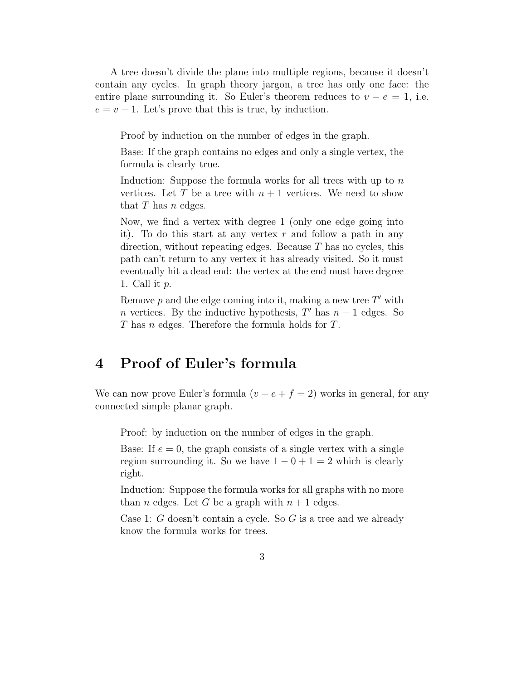A tree doesn't divide the plane into multiple regions, because it doesn't contain any cycles. In graph theory jargon, a tree has only one face: the entire plane surrounding it. So Euler's theorem reduces to  $v - e = 1$ , i.e.  $e = v - 1$ . Let's prove that this is true, by induction.

Proof by induction on the number of edges in the graph.

Base: If the graph contains no edges and only a single vertex, the formula is clearly true.

Induction: Suppose the formula works for all trees with up to  $n$ vertices. Let T be a tree with  $n + 1$  vertices. We need to show that  $T$  has  $n$  edges.

Now, we find a vertex with degree 1 (only one edge going into it). To do this start at any vertex  $r$  and follow a path in any direction, without repeating edges. Because  $T$  has no cycles, this path can't return to any vertex it has already visited. So it must eventually hit a dead end: the vertex at the end must have degree 1. Call it  $p$ .

Remove  $p$  and the edge coming into it, making a new tree  $T'$  with *n* vertices. By the inductive hypothesis,  $T'$  has  $n-1$  edges. So T has n edges. Therefore the formula holds for T.

# 4 Proof of Euler's formula

We can now prove Euler's formula  $(v - e + f = 2)$  works in general, for any connected simple planar graph.

Proof: by induction on the number of edges in the graph.

Base: If  $e = 0$ , the graph consists of a single vertex with a single region surrounding it. So we have  $1 - 0 + 1 = 2$  which is clearly right.

Induction: Suppose the formula works for all graphs with no more than *n* edges. Let *G* be a graph with  $n + 1$  edges.

Case 1: G doesn't contain a cycle. So G is a tree and we already know the formula works for trees.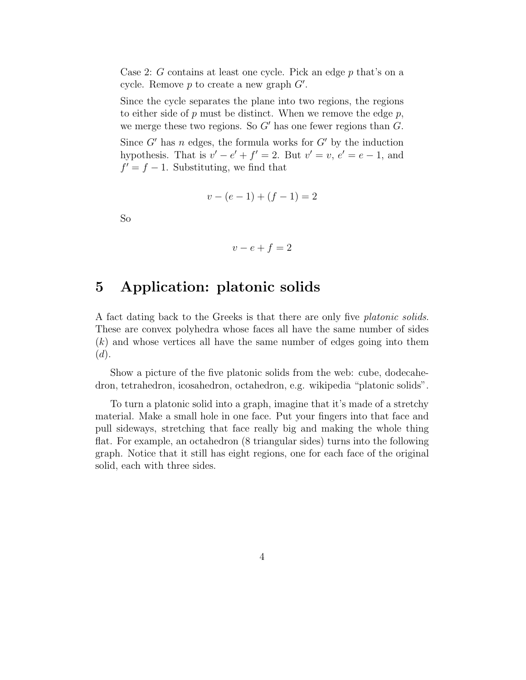Case 2: G contains at least one cycle. Pick an edge p that's on a cycle. Remove  $p$  to create a new graph  $G'$ .

Since the cycle separates the plane into two regions, the regions to either side of  $p$  must be distinct. When we remove the edge  $p$ , we merge these two regions. So  $G'$  has one fewer regions than  $G$ .

Since  $G'$  has n edges, the formula works for  $G'$  by the induction hypothesis. That is  $v' - e' + f' = 2$ . But  $v' = v$ ,  $e' = e - 1$ , and  $f' = f - 1$ . Substituting, we find that

$$
v - (e - 1) + (f - 1) = 2
$$

So

$$
v - e + f = 2
$$

## 5 Application: platonic solids

A fact dating back to the Greeks is that there are only five platonic solids. These are convex polyhedra whose faces all have the same number of sides (k) and whose vertices all have the same number of edges going into them  $(d).$ 

Show a picture of the five platonic solids from the web: cube, dodecahedron, tetrahedron, icosahedron, octahedron, e.g. wikipedia "platonic solids".

To turn a platonic solid into a graph, imagine that it's made of a stretchy material. Make a small hole in one face. Put your fingers into that face and pull sideways, stretching that face really big and making the whole thing flat. For example, an octahedron (8 triangular sides) turns into the following graph. Notice that it still has eight regions, one for each face of the original solid, each with three sides.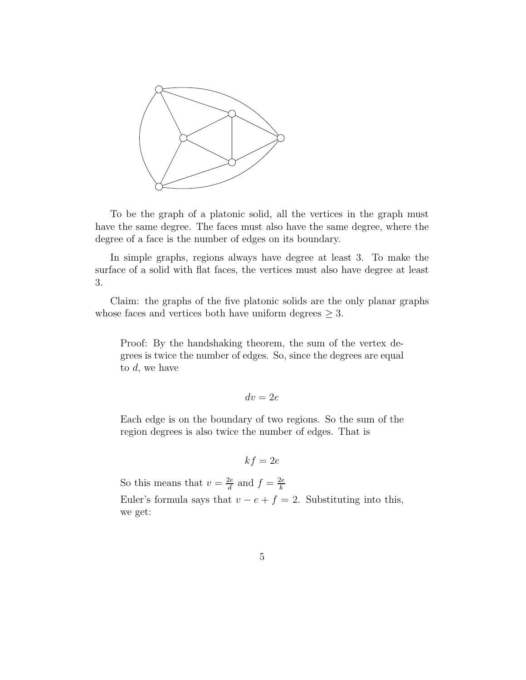

To be the graph of a platonic solid, all the vertices in the graph must have the same degree. The faces must also have the same degree, where the degree of a face is the number of edges on its boundary.

In simple graphs, regions always have degree at least 3. To make the surface of a solid with flat faces, the vertices must also have degree at least 3.

Claim: the graphs of the five platonic solids are the only planar graphs whose faces and vertices both have uniform degrees  $\geq 3$ .

Proof: By the handshaking theorem, the sum of the vertex degrees is twice the number of edges. So, since the degrees are equal to  $d$ , we have

$$
dv = 2e
$$

Each edge is on the boundary of two regions. So the sum of the region degrees is also twice the number of edges. That is

$$
kf=2e
$$

So this means that  $v = \frac{2e}{d}$  $\frac{2e}{d}$  and  $f = \frac{2e}{k}$ k Euler's formula says that  $v - e + f = 2$ . Substituting into this, we get: